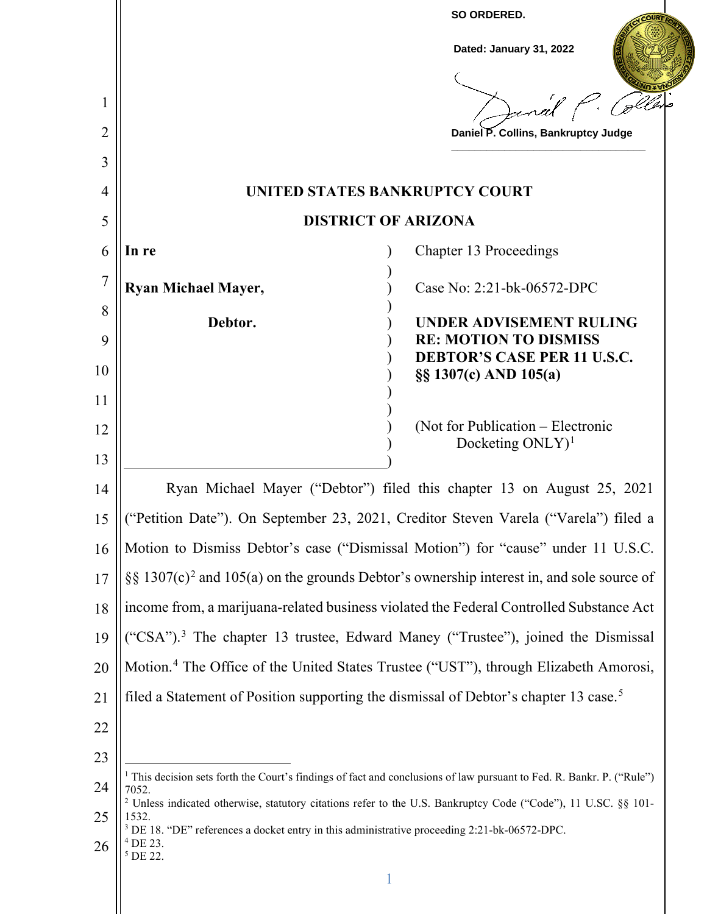|                |                                                                                                                                                                                                                                               | SO ORDERED.                                                                                                                      |
|----------------|-----------------------------------------------------------------------------------------------------------------------------------------------------------------------------------------------------------------------------------------------|----------------------------------------------------------------------------------------------------------------------------------|
|                |                                                                                                                                                                                                                                               | Dated: January 31, 2022                                                                                                          |
|                |                                                                                                                                                                                                                                               |                                                                                                                                  |
| 1              |                                                                                                                                                                                                                                               | Janal                                                                                                                            |
| $\overline{2}$ |                                                                                                                                                                                                                                               | Daniel P. Collins, Bankruptcy Judge                                                                                              |
| 3              |                                                                                                                                                                                                                                               |                                                                                                                                  |
| 4              |                                                                                                                                                                                                                                               | UNITED STATES BANKRUPTCY COURT                                                                                                   |
| 5              |                                                                                                                                                                                                                                               | <b>DISTRICT OF ARIZONA</b>                                                                                                       |
| 6              | In re                                                                                                                                                                                                                                         | <b>Chapter 13 Proceedings</b>                                                                                                    |
| 7              | <b>Ryan Michael Mayer,</b>                                                                                                                                                                                                                    | Case No: 2:21-bk-06572-DPC                                                                                                       |
| 8              | Debtor.                                                                                                                                                                                                                                       | <b>UNDER ADVISEMENT RULING</b>                                                                                                   |
| 9              |                                                                                                                                                                                                                                               | <b>RE: MOTION TO DISMISS</b><br><b>DEBTOR'S CASE PER 11 U.S.C.</b>                                                               |
| 10             |                                                                                                                                                                                                                                               | §§ 1307(c) AND 105(a)                                                                                                            |
| 11             |                                                                                                                                                                                                                                               |                                                                                                                                  |
| 12             |                                                                                                                                                                                                                                               | (Not for Publication – Electronic<br>Docketing $ONLY$ <sup>1</sup>                                                               |
| 13             |                                                                                                                                                                                                                                               |                                                                                                                                  |
| 14             |                                                                                                                                                                                                                                               | Ryan Michael Mayer ("Debtor") filed this chapter 13 on August 25, 2021                                                           |
| 15             |                                                                                                                                                                                                                                               | ("Petition Date"). On September 23, 2021, Creditor Steven Varela ("Varela") filed a                                              |
| 16             |                                                                                                                                                                                                                                               | Motion to Dismiss Debtor's case ("Dismissal Motion") for "cause" under 11 U.S.C.                                                 |
| 17             |                                                                                                                                                                                                                                               | §§ 1307(c) <sup>2</sup> and 105(a) on the grounds Debtor's ownership interest in, and sole source of                             |
| 18             |                                                                                                                                                                                                                                               | income from, a marijuana-related business violated the Federal Controlled Substance Act                                          |
| 19             |                                                                                                                                                                                                                                               | ("CSA"). <sup>3</sup> The chapter 13 trustee, Edward Maney ("Trustee"), joined the Dismissal                                     |
| 20             |                                                                                                                                                                                                                                               | Motion. <sup>4</sup> The Office of the United States Trustee ("UST"), through Elizabeth Amorosi,                                 |
| 21             | filed a Statement of Position supporting the dismissal of Debtor's chapter 13 case. <sup>5</sup>                                                                                                                                              |                                                                                                                                  |
| 22             |                                                                                                                                                                                                                                               |                                                                                                                                  |
| 23             |                                                                                                                                                                                                                                               |                                                                                                                                  |
| 24             | 7052.                                                                                                                                                                                                                                         | <sup>1</sup> This decision sets forth the Court's findings of fact and conclusions of law pursuant to Fed. R. Bankr. P. ("Rule") |
| 25             | <sup>2</sup> Unless indicated otherwise, statutory citations refer to the U.S. Bankruptcy Code ("Code"), 11 U.SC. §§ 101-<br>1532.<br><sup>3</sup> DE 18. "DE" references a docket entry in this administrative proceeding 2:21-bk-06572-DPC. |                                                                                                                                  |
| 26             | $4$ DE 23.<br><sup>5</sup> DE 22.                                                                                                                                                                                                             |                                                                                                                                  |
|                |                                                                                                                                                                                                                                               |                                                                                                                                  |
|                |                                                                                                                                                                                                                                               |                                                                                                                                  |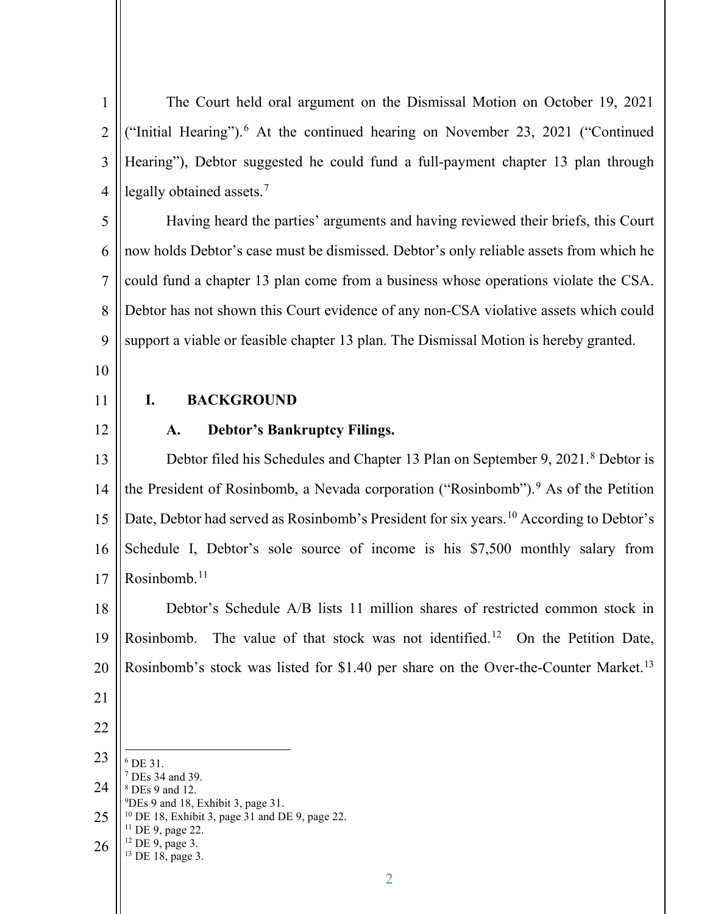| $\mathbf{1}$   | The Court held oral argument on the Dismissal Motion on October 19, 2021                                    |
|----------------|-------------------------------------------------------------------------------------------------------------|
| $\overline{2}$ | ("Initial Hearing"). <sup>6</sup> At the continued hearing on November 23, 2021 ("Continued                 |
| 3              | Hearing"), Debtor suggested he could fund a full-payment chapter 13 plan through                            |
| $\overline{4}$ | legally obtained assets. <sup>7</sup>                                                                       |
| 5              | Having heard the parties' arguments and having reviewed their briefs, this Court                            |
| 6              | now holds Debtor's case must be dismissed. Debtor's only reliable assets from which he                      |
| $\overline{7}$ | could fund a chapter 13 plan come from a business whose operations violate the CSA.                         |
| 8              | Debtor has not shown this Court evidence of any non-CSA violative assets which could                        |
| 9              | support a viable or feasible chapter 13 plan. The Dismissal Motion is hereby granted.                       |
| 10             |                                                                                                             |
| 11             | I.<br><b>BACKGROUND</b>                                                                                     |
| 12             | <b>Debtor's Bankruptcy Filings.</b><br>A.                                                                   |
| 13             | Debtor filed his Schedules and Chapter 13 Plan on September 9, 2021. <sup>8</sup> Debtor is                 |
| 14             | the President of Rosinbomb, a Nevada corporation ("Rosinbomb"). <sup>9</sup> As of the Petition             |
| 15             | Date, Debtor had served as Rosinbomb's President for six years. <sup>10</sup> According to Debtor's         |
| 16             | Schedule I, Debtor's sole source of income is his \$7,500 monthly salary from                               |
| 17             | Rosinbomb. <sup>11</sup>                                                                                    |
| 18             | Debtor's Schedule A/B lists 11 million shares of restricted common stock in                                 |
| 19             | The value of that stock was not identified. <sup>12</sup> On the Petition Date,<br>Rosinbomb.               |
| 20             | Rosinbomb's stock was listed for \$1.40 per share on the Over-the-Counter Market. <sup>13</sup>             |
| 21             |                                                                                                             |
| 22             |                                                                                                             |
| 23             | <sup>6</sup> DE 31.                                                                                         |
| 24             | <sup>7</sup> DEs 34 and 39.<br><sup>8</sup> DEs 9 and 12.<br><sup>9</sup> DEs 9 and 18, Exhibit 3, page 31. |
| 25             | <sup>10</sup> DE 18, Exhibit 3, page 31 and DE 9, page 22.<br>$11$ DE 9, page 22.                           |
| 26             | $12$ DE 9, page 3.<br><sup>13</sup> DE 18, page 3.                                                          |
|                | $\overline{2}$                                                                                              |

 $\parallel$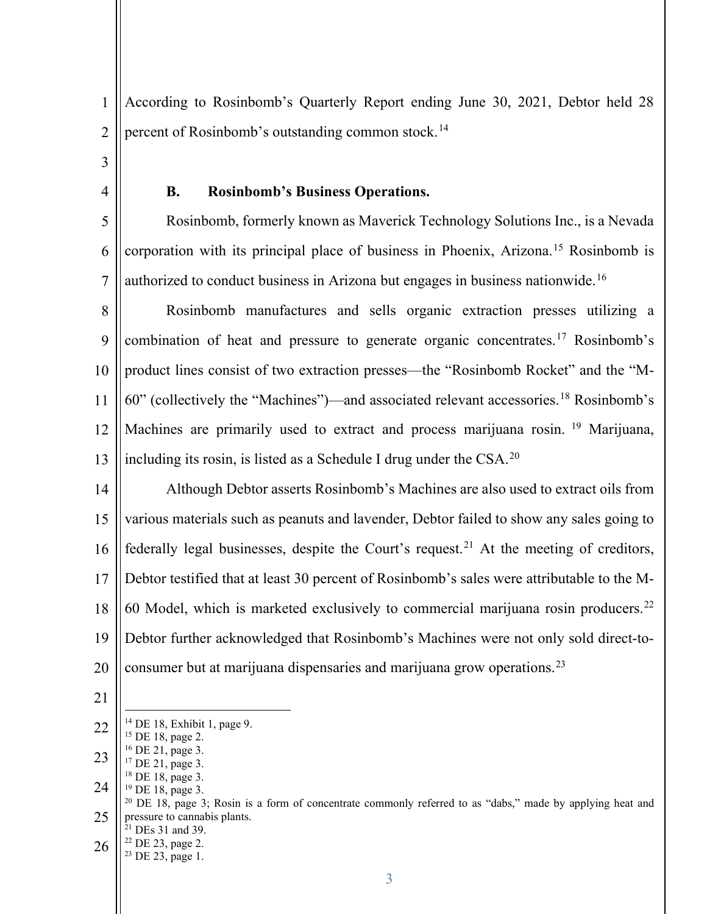1 2 According to Rosinbomb's Quarterly Report ending June 30, 2021, Debtor held 28 percent of Rosinbomb's outstanding common stock.<sup>14</sup>

3

4

### **B. Rosinbomb's Business Operations.**

5 6 7 Rosinbomb, formerly known as Maverick Technology Solutions Inc., is a Nevada corporation with its principal place of business in Phoenix, Arizona.15 Rosinbomb is authorized to conduct business in Arizona but engages in business nationwide.<sup>16</sup>

8 9 10 11 12 13 Rosinbomb manufactures and sells organic extraction presses utilizing a combination of heat and pressure to generate organic concentrates.17 Rosinbomb's product lines consist of two extraction presses—the "Rosinbomb Rocket" and the "M-60" (collectively the "Machines")—and associated relevant accessories.18 Rosinbomb's Machines are primarily used to extract and process marijuana rosin. <sup>19</sup> Marijuana, including its rosin, is listed as a Schedule I drug under the  $CSA$ .<sup>20</sup>

14 15 16 17 18 19 20 Although Debtor asserts Rosinbomb's Machines are also used to extract oils from various materials such as peanuts and lavender, Debtor failed to show any sales going to federally legal businesses, despite the Court's request.<sup>21</sup> At the meeting of creditors, Debtor testified that at least 30 percent of Rosinbomb's sales were attributable to the M-60 Model, which is marketed exclusively to commercial marijuana rosin producers.<sup>22</sup> Debtor further acknowledged that Rosinbomb's Machines were not only sold direct-toconsumer but at marijuana dispensaries and marijuana grow operations.23

21

26

<sup>22</sup> DE 23, page 2. <sup>23</sup> DE 23, page 1.

<sup>&</sup>lt;sup>14</sup> DE 18, Exhibit 1, page 9.<br><sup>15</sup> DE 18, page 2.

<sup>22</sup>

<sup>23</sup>

<sup>24</sup>

<sup>25</sup> <sup>16</sup> DE 21, page 3.<br><sup>17</sup> DE 21, page 3.<br><sup>18</sup> DE 18, page 3.<br><sup>19</sup> DE 18, page 3; Rosin is a form of concentrate commonly referred to as "dabs," made by applying heat and<br><sup>20</sup> DE 18, page 3; Rosin is a form of concentrate c pressure to cannabis plants. <sup>21</sup> DEs 31 and 39.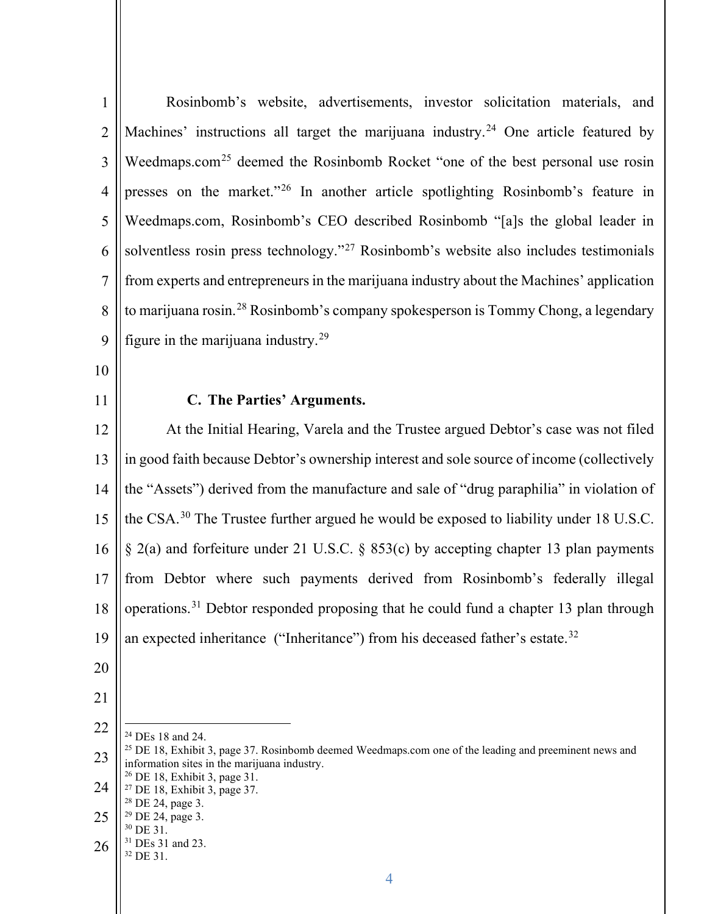| $\mathbf{1}$   | Rosinbomb's website, advertisements, investor solicitation materials, and                                                                                         |
|----------------|-------------------------------------------------------------------------------------------------------------------------------------------------------------------|
| $\overline{2}$ | Machines' instructions all target the marijuana industry. <sup>24</sup> One article featured by                                                                   |
| 3              | Weedmaps.com <sup>25</sup> deemed the Rosinbomb Rocket "one of the best personal use rosin                                                                        |
| $\overline{4}$ | presses on the market." <sup>26</sup> In another article spotlighting Rosinbomb's feature in                                                                      |
| 5              | Weedmaps.com, Rosinbomb's CEO described Rosinbomb "[a]s the global leader in                                                                                      |
| 6              | solventless rosin press technology." <sup>27</sup> Rosinbomb's website also includes testimonials                                                                 |
| $\tau$         | from experts and entrepreneurs in the marijuana industry about the Machines' application                                                                          |
| 8              | to marijuana rosin. <sup>28</sup> Rosinbomb's company spokesperson is Tommy Chong, a legendary                                                                    |
| 9              | figure in the marijuana industry. <sup>29</sup>                                                                                                                   |
| 10             |                                                                                                                                                                   |
| 11             | C. The Parties' Arguments.                                                                                                                                        |
| 12             | At the Initial Hearing, Varela and the Trustee argued Debtor's case was not filed                                                                                 |
| 13             | in good faith because Debtor's ownership interest and sole source of income (collectively                                                                         |
| 14             | the "Assets") derived from the manufacture and sale of "drug paraphilia" in violation of                                                                          |
| 15             | the CSA. <sup>30</sup> The Trustee further argued he would be exposed to liability under 18 U.S.C.                                                                |
| 16             | $\S$ 2(a) and forfeiture under 21 U.S.C. $\S$ 853(c) by accepting chapter 13 plan payments                                                                        |
| 17             | from Debtor where such payments derived from Rosinbomb's federally illegal                                                                                        |
|                | 18    operations. <sup>31</sup> Debtor responded proposing that he could fund a chapter 13 plan through                                                           |
| 19             | an expected inheritance ("Inheritance") from his deceased father's estate. <sup>32</sup>                                                                          |
| 20             |                                                                                                                                                                   |
| 21             |                                                                                                                                                                   |
| 22             | <sup>24</sup> DEs 18 and 24.                                                                                                                                      |
| 23             | <sup>25</sup> DE 18, Exhibit 3, page 37. Rosinbomb deemed Weedmaps.com one of the leading and preeminent news and<br>information sites in the marijuana industry. |
| 24             | <sup>26</sup> DE 18, Exhibit 3, page 31.<br><sup>27</sup> DE 18, Exhibit 3, page 37.<br><sup>28</sup> DE 24, page 3.                                              |
| 25             | <sup>29</sup> DE 24, page 3.<br><sup>30</sup> DE 31.                                                                                                              |
| 26             | <sup>31</sup> DEs 31 and 23.                                                                                                                                      |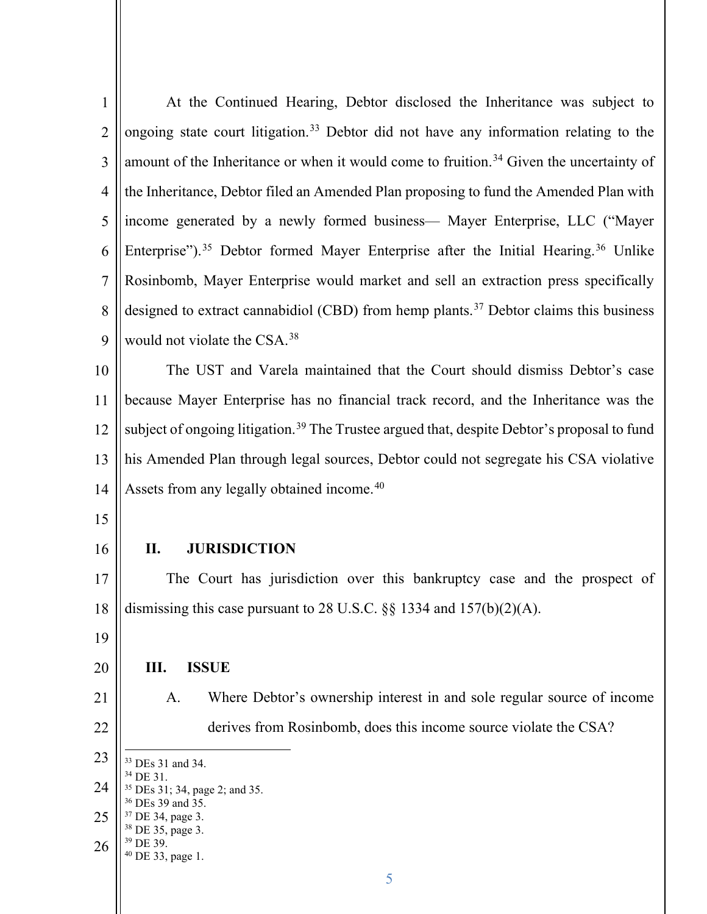| 1              | At the Continued Hearing, Debtor disclosed the Inheritance was subject to                                  |
|----------------|------------------------------------------------------------------------------------------------------------|
| $\overline{2}$ | ongoing state court litigation. <sup>33</sup> Debtor did not have any information relating to the          |
| 3              | amount of the Inheritance or when it would come to fruition. <sup>34</sup> Given the uncertainty of        |
| $\overline{4}$ | the Inheritance, Debtor filed an Amended Plan proposing to fund the Amended Plan with                      |
| 5              | income generated by a newly formed business— Mayer Enterprise, LLC ("Mayer                                 |
| 6              | Enterprise"). <sup>35</sup> Debtor formed Mayer Enterprise after the Initial Hearing. <sup>36</sup> Unlike |
| $\overline{7}$ | Rosinbomb, Mayer Enterprise would market and sell an extraction press specifically                         |
| 8              | designed to extract cannabidiol (CBD) from hemp plants. <sup>37</sup> Debtor claims this business          |
| 9              | would not violate the CSA. <sup>38</sup>                                                                   |
| 10             | The UST and Varela maintained that the Court should dismiss Debtor's case                                  |
| 11             | because Mayer Enterprise has no financial track record, and the Inheritance was the                        |
| 12             | subject of ongoing litigation. <sup>39</sup> The Trustee argued that, despite Debtor's proposal to fund    |
| 13             | his Amended Plan through legal sources, Debtor could not segregate his CSA violative                       |
| 14             | Assets from any legally obtained income. <sup>40</sup>                                                     |
|                |                                                                                                            |
| 15             |                                                                                                            |
| 16             | <b>JURISDICTION</b><br>II.                                                                                 |
| 17             | The Court has jurisdiction over this bankruptcy case and the prospect of                                   |
| 18             | dismissing this case pursuant to 28 U.S.C. $\S$ 1334 and 157(b)(2)(A).                                     |
| 19             |                                                                                                            |
| 20             | III.<br><b>ISSUE</b>                                                                                       |
| 21             | Where Debtor's ownership interest in and sole regular source of income<br>A.                               |
| 22             | derives from Rosinbomb, does this income source violate the CSA?                                           |
| 23             | <sup>33</sup> DEs 31 and 34.                                                                               |
| 24             | <sup>34</sup> DE 31.<br><sup>35</sup> DEs 31; 34, page 2; and 35.                                          |
| 25             | <sup>36</sup> DEs 39 and 35.<br><sup>37</sup> DE 34, page 3.                                               |
| 26             | <sup>38</sup> DE 35, page 3.<br><sup>39</sup> DE 39.<br><sup>40</sup> DE 33, page 1.                       |
|                | 5                                                                                                          |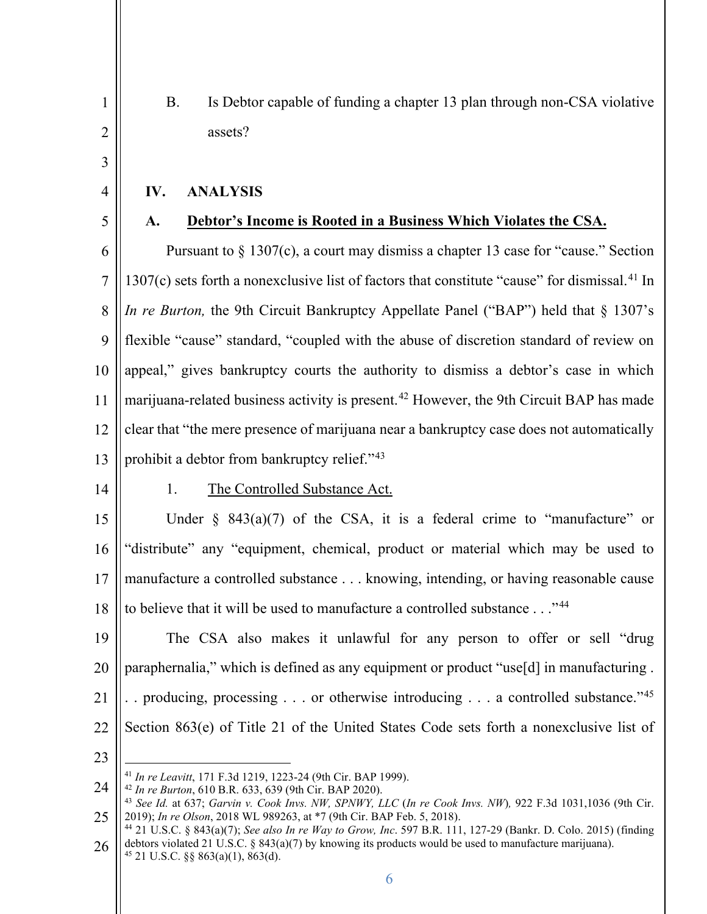B. Is Debtor capable of funding a chapter 13 plan through non-CSA violative assets?

# **IV. ANALYSIS**

5

1

2

3

4

# **A. Debtor's Income is Rooted in a Business Which Violates the CSA.**

6 7 8 9 10 11 12 13 Pursuant to § 1307(c), a court may dismiss a chapter 13 case for "cause." Section 1307(c) sets forth a nonexclusive list of factors that constitute "cause" for dismissal.<sup>41</sup> In *In re Burton*, the 9th Circuit Bankruptcy Appellate Panel ("BAP") held that § 1307's flexible "cause" standard, "coupled with the abuse of discretion standard of review on appeal," gives bankruptcy courts the authority to dismiss a debtor's case in which marijuana-related business activity is present.<sup>42</sup> However, the 9th Circuit BAP has made clear that "the mere presence of marijuana near a bankruptcy case does not automatically prohibit a debtor from bankruptcy relief."43

14

#### 1. The Controlled Substance Act.

15 16 17 18 Under  $\S$  843(a)(7) of the CSA, it is a federal crime to "manufacture" or "distribute" any "equipment, chemical, product or material which may be used to manufacture a controlled substance . . . knowing, intending, or having reasonable cause to believe that it will be used to manufacture a controlled substance . . ."<sup>44</sup>

19 20 21 22 The CSA also makes it unlawful for any person to offer or sell "drug paraphernalia," which is defined as any equipment or product "use[d] in manufacturing . . . producing, processing . . . or otherwise introducing . . . a controlled substance."45 Section 863(e) of Title 21 of the United States Code sets forth a nonexclusive list of

<sup>24</sup>

<sup>25</sup> <sup>41</sup> In re Leavitt, 171 F.3d 1219, 1223-24 (9th Cir. BAP 1999).<br><sup>42</sup> In re Burton, 610 B.R. 633, 639 (9th Cir. BAP 2020).<br><sup>43</sup> See Id. at 637; *Garvin v. Cook Invs. NW, SPNWY, LLC (In re Cook Invs. NW)*, 922 F.3d 1031,103 2019); *In re Olson*, 2018 WL 989263, at \*7 (9th Cir. BAP Feb. 5, 2018). 44 21 U.S.C. § 843(a)(7); *See also In re Way to Grow, Inc*. 597 B.R. 111, 127-29 (Bankr. D. Colo. 2015) (finding

<sup>26</sup> debtors violated 21 U.S.C. § 843(a)(7) by knowing its products would be used to manufacture marijuana). <sup>45</sup> 21 U.S.C. §§ 863(a)(1), 863(d).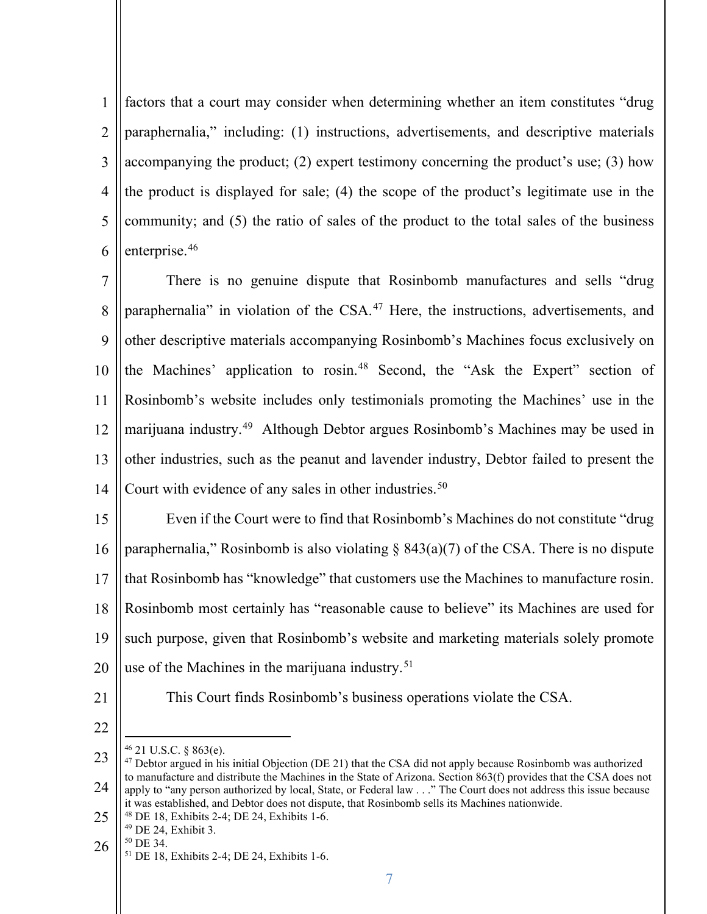1 2 3 4 5 6 factors that a court may consider when determining whether an item constitutes "drug paraphernalia," including: (1) instructions, advertisements, and descriptive materials accompanying the product; (2) expert testimony concerning the product's use; (3) how the product is displayed for sale; (4) the scope of the product's legitimate use in the community; and (5) the ratio of sales of the product to the total sales of the business enterprise.46

7 8 9 10 11 12 13 14 There is no genuine dispute that Rosinbomb manufactures and sells "drug paraphernalia" in violation of the CSA.<sup>47</sup> Here, the instructions, advertisements, and other descriptive materials accompanying Rosinbomb's Machines focus exclusively on the Machines' application to rosin.48 Second, the "Ask the Expert" section of Rosinbomb's website includes only testimonials promoting the Machines' use in the marijuana industry.49 Although Debtor argues Rosinbomb's Machines may be used in other industries, such as the peanut and lavender industry, Debtor failed to present the Court with evidence of any sales in other industries.<sup>50</sup>

15 16 17 18 19 20 Even if the Court were to find that Rosinbomb's Machines do not constitute "drug paraphernalia," Rosinbomb is also violating  $\S$  843(a)(7) of the CSA. There is no dispute that Rosinbomb has "knowledge" that customers use the Machines to manufacture rosin. Rosinbomb most certainly has "reasonable cause to believe" its Machines are used for such purpose, given that Rosinbomb's website and marketing materials solely promote use of the Machines in the marijuana industry.<sup>51</sup>

21

This Court finds Rosinbomb's business operations violate the CSA.

- 25
	-
- 26
	-

 $46$  21 U.S.C. § 863(e).

<sup>23</sup> 24 <sup>47</sup> Debtor argued in his initial Objection (DE 21) that the CSA did not apply because Rosinbomb was authorized to manufacture and distribute the Machines in the State of Arizona. Section 863(f) provides that the CSA does not apply to "any person authorized by local, State, or Federal law . . ." The Court does not address this issue because it was established, and Debtor does not dispute, that Rosinbomb sells its Machines nationwide.<br><sup>48</sup> DE 18, Exhibits 2-4; DE 24, Exhibits 1-6.<br><sup>50</sup> DE 24, Exhibits 2-4; DE 24, Exhibits 1-6.<br><sup>51</sup> DE 18, Exhibits 2-4; DE 24,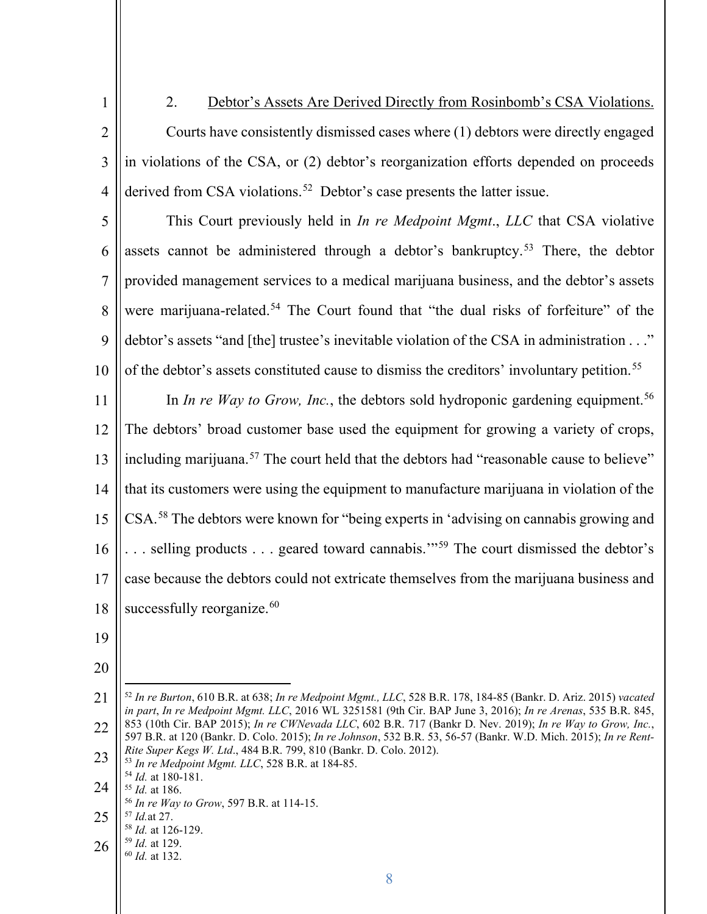1 2 3 4 2. Debtor's Assets Are Derived Directly from Rosinbomb's CSA Violations. Courts have consistently dismissed cases where (1) debtors were directly engaged in violations of the CSA, or (2) debtor's reorganization efforts depended on proceeds derived from CSA violations.<sup>52</sup> Debtor's case presents the latter issue.

5 6 7 8 9 10 This Court previously held in *In re Medpoint Mgmt*., *LLC* that CSA violative assets cannot be administered through a debtor's bankruptcy.<sup>53</sup> There, the debtor provided management services to a medical marijuana business, and the debtor's assets were marijuana-related.<sup>54</sup> The Court found that "the dual risks of forfeiture" of the debtor's assets "and [the] trustee's inevitable violation of the CSA in administration . . ." of the debtor's assets constituted cause to dismiss the creditors' involuntary petition.<sup>55</sup>

11 12 13 14 15 16 17 18 In *In re Way to Grow, Inc.*, the debtors sold hydroponic gardening equipment.<sup>56</sup> The debtors' broad customer base used the equipment for growing a variety of crops, including marijuana.<sup>57</sup> The court held that the debtors had "reasonable cause to believe" that its customers were using the equipment to manufacture marijuana in violation of the CSA.58 The debtors were known for "being experts in 'advising on cannabis growing and . . . selling products . . . geared toward cannabis.'"59 The court dismissed the debtor's case because the debtors could not extricate themselves from the marijuana business and successfully reorganize. $60$ 

- 19
- 20

21 22 23 <sup>52</sup> *In re Burton*, 610 B.R. at 638; *In re Medpoint Mgmt., LLC*, 528 B.R. 178, 184-85 (Bankr. D. Ariz. 2015) *vacated in part*, *In re Medpoint Mgmt. LLC*, 2016 WL 3251581 (9th Cir. BAP June 3, 2016); *In re Arenas*, 535 B.R. 845, 853 (10th Cir. BAP 2015); *In re CWNevada LLC*, 602 B.R. 717 (Bankr D. Nev. 2019); *In re Way to Grow, Inc.*, 597 B.R. at 120 (Bankr. D. Colo. 2015); *In re Johnson*, 532 B.R. 53, 56-57 (Bankr. W.D. Mich. 2015); *In re Rent-*

- 24 *Rite Super Kegs W. Ltd*., 484 B.R. 799, 810 (Bankr. D. Colo. 2012). 53 *In re Medpoint Mgmt. LLC*, 528 B.R. at 184-85.
- 25 <sup>55</sup> *Id.* at 186.<br><sup>56</sup> *In re Way to Grow*, 597 B.R. at 114-15.<br><sup>57</sup> *Id.* at 27.<br><sup>58</sup> *Id.* at 126-129.<br><sup>59</sup> *Id.* at 129.
- 
- 26 <sup>59</sup> *Id.* at 129. 60 *Id.* at 132.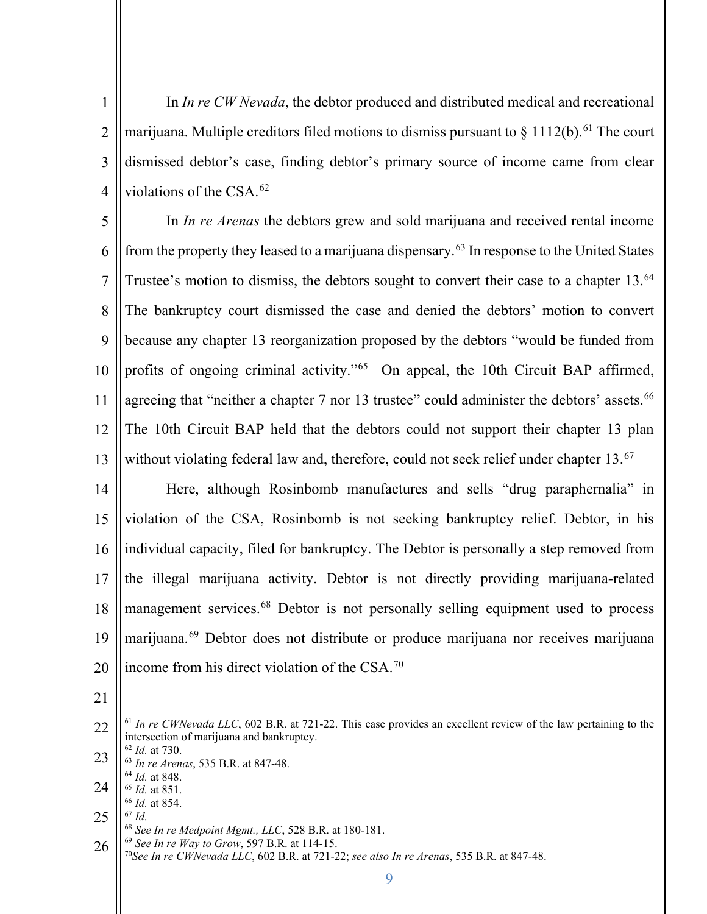1 2 3 4 In *In re CW Nevada*, the debtor produced and distributed medical and recreational marijuana. Multiple creditors filed motions to dismiss pursuant to  $\frac{1112(b)}{61}$  The court dismissed debtor's case, finding debtor's primary source of income came from clear violations of the CSA.62

5 6 7 8 9 10 11 12 13 In *In re Arenas* the debtors grew and sold marijuana and received rental income from the property they leased to a marijuana dispensary.<sup>63</sup> In response to the United States Trustee's motion to dismiss, the debtors sought to convert their case to a chapter 13.<sup>64</sup> The bankruptcy court dismissed the case and denied the debtors' motion to convert because any chapter 13 reorganization proposed by the debtors "would be funded from profits of ongoing criminal activity."<sup>65</sup> On appeal, the 10th Circuit BAP affirmed, agreeing that "neither a chapter 7 nor 13 trustee" could administer the debtors' assets.<sup>66</sup> The 10th Circuit BAP held that the debtors could not support their chapter 13 plan without violating federal law and, therefore, could not seek relief under chapter 13.<sup>67</sup>

14 15 16 17 18 19 20 Here, although Rosinbomb manufactures and sells "drug paraphernalia" in violation of the CSA, Rosinbomb is not seeking bankruptcy relief. Debtor, in his individual capacity, filed for bankruptcy. The Debtor is personally a step removed from the illegal marijuana activity. Debtor is not directly providing marijuana-related management services.<sup>68</sup> Debtor is not personally selling equipment used to process marijuana.69 Debtor does not distribute or produce marijuana nor receives marijuana income from his direct violation of the CSA.70

- 21
- 22 23 24 25 26 <sup>61</sup> In re CWNevada LLC, 602 B.R. at 721-22. This case provides an excellent review of the law pertaining to the intersection of marijuana and bankruptcy.<br>  $62$  *Id.* at 730. <sup>63</sup> *In re Arenas*, 535 B.R. at 847-48.<br><sup>64</sup> *Id.* at 848. <sup>64</sup> *Id.* at 848. 65 *Id.* at 851. 66 *Id.* at 854. 67 *Id.* <sup>68</sup> *See In re Medpoint Mgmt., LLC*, 528 B.R. at 180-181. <sup>69</sup> *See In re Way to Grow*, 597 B.R. at 114-15.

70*See In re CWNevada LLC*, 602 B.R. at 721-22; *see also In re Arenas*, 535 B.R. at 847-48.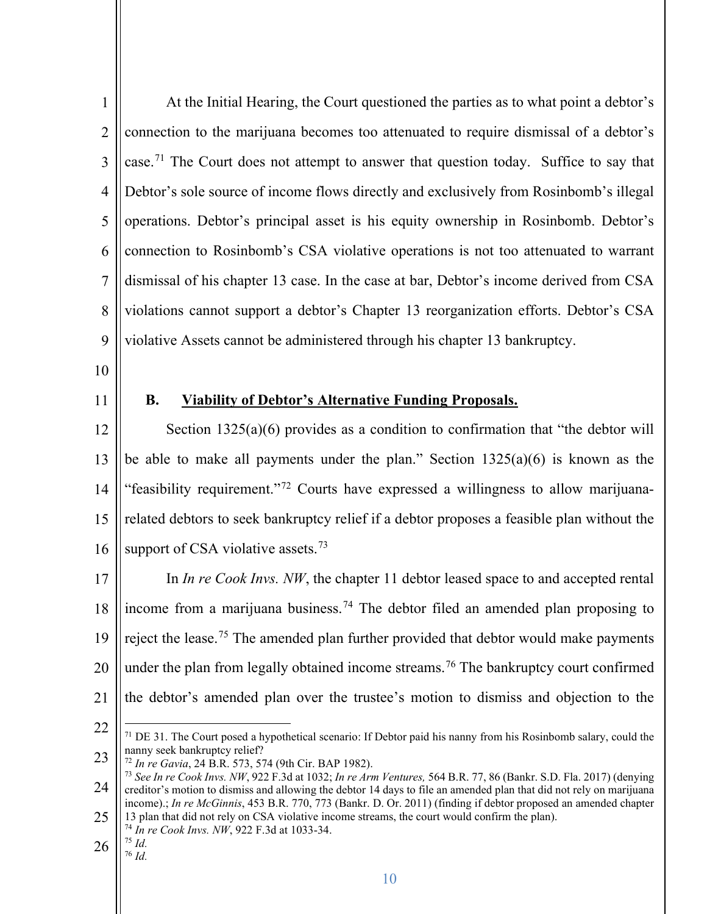| $\mathbf{1}$   | At the Initial Hearing, the Court questioned the parties as to what point a debtor's                                                                                                                                                                                        |
|----------------|-----------------------------------------------------------------------------------------------------------------------------------------------------------------------------------------------------------------------------------------------------------------------------|
| $\overline{2}$ | connection to the marijuana becomes too attenuated to require dismissal of a debtor's                                                                                                                                                                                       |
| 3              | case. <sup>71</sup> The Court does not attempt to answer that question today. Suffice to say that                                                                                                                                                                           |
| $\overline{4}$ | Debtor's sole source of income flows directly and exclusively from Rosinbomb's illegal                                                                                                                                                                                      |
| 5              | operations. Debtor's principal asset is his equity ownership in Rosinbomb. Debtor's                                                                                                                                                                                         |
| 6              | connection to Rosinbomb's CSA violative operations is not too attenuated to warrant                                                                                                                                                                                         |
| $\overline{7}$ | dismissal of his chapter 13 case. In the case at bar, Debtor's income derived from CSA                                                                                                                                                                                      |
| 8              | violations cannot support a debtor's Chapter 13 reorganization efforts. Debtor's CSA                                                                                                                                                                                        |
| 9              | violative Assets cannot be administered through his chapter 13 bankruptcy.                                                                                                                                                                                                  |
| 10             |                                                                                                                                                                                                                                                                             |
| 11             | <b>B.</b><br><b>Viability of Debtor's Alternative Funding Proposals.</b>                                                                                                                                                                                                    |
| 12             | Section $1325(a)(6)$ provides as a condition to confirmation that "the debtor will                                                                                                                                                                                          |
| 13             | be able to make all payments under the plan." Section $1325(a)(6)$ is known as the                                                                                                                                                                                          |
| 14             | "feasibility requirement." <sup>72</sup> Courts have expressed a willingness to allow marijuana-                                                                                                                                                                            |
| 15             | related debtors to seek bankruptcy relief if a debtor proposes a feasible plan without the                                                                                                                                                                                  |
| 16             | support of CSA violative assets. <sup>73</sup>                                                                                                                                                                                                                              |
| 17             | In <i>In re Cook Invs. NW</i> , the chapter 11 debtor leased space to and accepted rental                                                                                                                                                                                   |
| 18             | income from a marijuana business. <sup>74</sup> The debtor filed an amended plan proposing to                                                                                                                                                                               |
| 19             | reject the lease. <sup>75</sup> The amended plan further provided that debtor would make payments                                                                                                                                                                           |
| 20             | under the plan from legally obtained income streams. <sup>76</sup> The bankruptcy court confirmed                                                                                                                                                                           |
| 21             | the debtor's amended plan over the trustee's motion to dismiss and objection to the                                                                                                                                                                                         |
| 22             | $71$ DE 31. The Court posed a hypothetical scenario: If Debtor paid his nanny from his Rosinbomb salary, could the                                                                                                                                                          |
| 23             | nanny seek bankruptcy relief?<br><sup>72</sup> In re Gavia, 24 B.R. 573, 574 (9th Cir. BAP 1982).                                                                                                                                                                           |
| 24             | 73 See In re Cook Invs. NW, 922 F.3d at 1032; In re Arm Ventures, 564 B.R. 77, 86 (Bankr. S.D. Fla. 2017) (denying<br>creditor's motion to dismiss and allowing the debtor 14 days to file an amended plan that did not rely on marijuana                                   |
| 25             | income).; In re McGinnis, 453 B.R. 770, 773 (Bankr. D. Or. 2011) (finding if debtor proposed an amended chapter<br>13 plan that did not rely on CSA violative income streams, the court would confirm the plan).<br><sup>74</sup> In re Cook Invs. NW, 922 F.3d at 1033-34. |
| 26             | $^{75}$ Id.<br>$76$ Id.                                                                                                                                                                                                                                                     |
|                | 10                                                                                                                                                                                                                                                                          |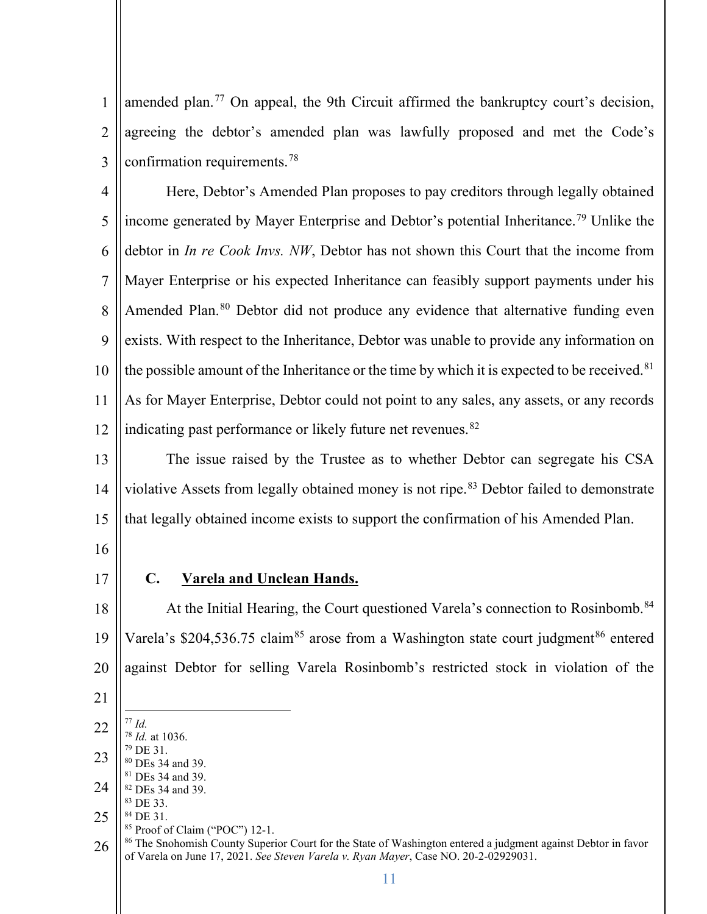amended plan.<sup>77</sup> On appeal, the 9th Circuit affirmed the bankruptcy court's decision, agreeing the debtor's amended plan was lawfully proposed and met the Code's confirmation requirements.78

 Here, Debtor's Amended Plan proposes to pay creditors through legally obtained income generated by Mayer Enterprise and Debtor's potential Inheritance.79 Unlike the debtor in *In re Cook Invs. NW*, Debtor has not shown this Court that the income from Mayer Enterprise or his expected Inheritance can feasibly support payments under his Amended Plan.<sup>80</sup> Debtor did not produce any evidence that alternative funding even exists. With respect to the Inheritance, Debtor was unable to provide any information on the possible amount of the Inheritance or the time by which it is expected to be received.<sup>81</sup> As for Mayer Enterprise, Debtor could not point to any sales, any assets, or any records indicating past performance or likely future net revenues.<sup>82</sup>

 The issue raised by the Trustee as to whether Debtor can segregate his CSA violative Assets from legally obtained money is not ripe.<sup>83</sup> Debtor failed to demonstrate that legally obtained income exists to support the confirmation of his Amended Plan.

- 
- 

### **C. Varela and Unclean Hands.**

 At the Initial Hearing, the Court questioned Varela's connection to Rosinbomb.<sup>84</sup> Varela's \$204,536.75 claim<sup>85</sup> arose from a Washington state court judgment<sup>86</sup> entered against Debtor for selling Varela Rosinbomb's restricted stock in violation of the

- 
- *Id.* 78 *Id.* at 1036. DE 31. DEs 34 and 39. DEs 34 and 39.
- DEs 34 and 39. DE 33.
- DE 31.
	- Proof of Claim ("POC") 12-1.
- <sup>86</sup> The Snohomish County Superior Court for the State of Washington entered a judgment against Debtor in favor of Varela on June 17, 2021. *See Steven Varela v. Ryan Mayer*, Case NO. 20-2-02929031.